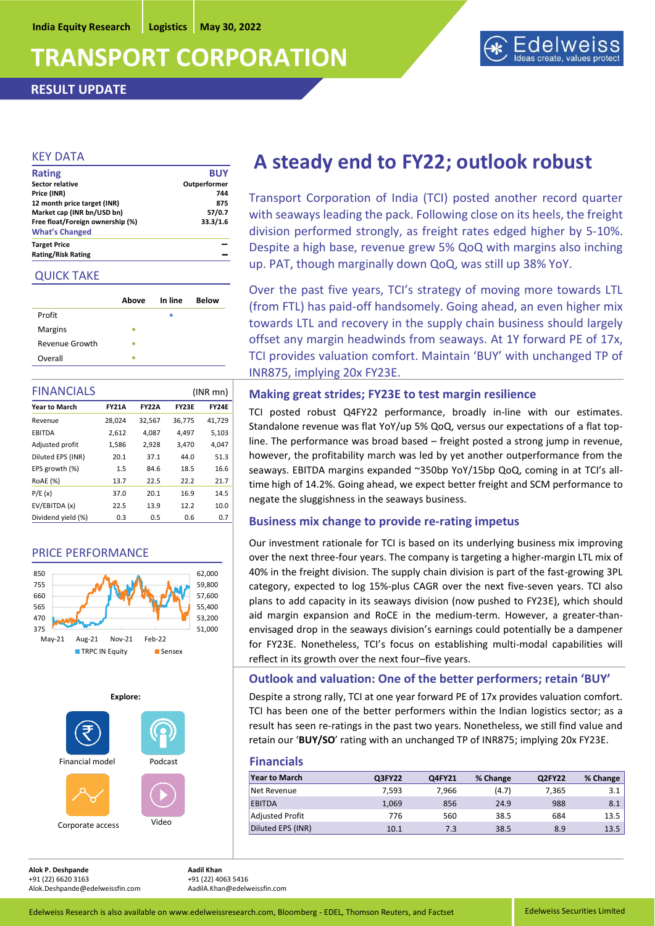# **TRANSPORT CORPORATION**

**RESULT UPDATE**



### KEY DATA

| <b>Rating</b>                    | <b>BUY</b>   |
|----------------------------------|--------------|
| Sector relative                  | Outperformer |
| Price (INR)                      | 744          |
| 12 month price target (INR)      | 875          |
| Market cap (INR bn/USD bn)       | 57/0.7       |
| Free float/Foreign ownership (%) | 33.3/1.6     |
| <b>What's Changed</b>            |              |
| <b>Target Price</b>              |              |
| <b>Rating/Risk Rating</b>        |              |

### QUICK TAKE

|                | Above | In line | <b>Below</b> |
|----------------|-------|---------|--------------|
| Profit         |       |         |              |
| <b>Margins</b> |       |         |              |
| Revenue Growth |       |         |              |
| Overall        |       |         |              |

| <b>FINANCIALS</b><br>$(INR$ mn $)$ |              |              |              |              |
|------------------------------------|--------------|--------------|--------------|--------------|
| <b>Year to March</b>               | <b>FY21A</b> | <b>FY22A</b> | <b>FY23E</b> | <b>FY24E</b> |
| Revenue                            | 28,024       | 32,567       | 36,775       | 41,729       |
| <b>EBITDA</b>                      | 2,612        | 4,087        | 4,497        | 5,103        |
| Adjusted profit                    | 1,586        | 2,928        | 3,470        | 4,047        |
| Diluted EPS (INR)                  | 20.1         | 37.1         | 44.0         | 51.3         |
| EPS growth (%)                     | 1.5          | 84.6         | 18.5         | 16.6         |
| <b>ROAE</b> (%)                    | 13.7         | 22.5         | 22.2         | 21.7         |
| P/E(x)                             | 37.0         | 20.1         | 16.9         | 14.5         |
| EV/EBITDA (x)                      | 22.5         | 13.9         | 12.2         | 10.0         |
| Dividend yield (%)                 | 0.3          | 0.5          | 0.6          | 0.7          |

## PRICE PERFORMANCE





## **A steady end to FY22; outlook robust**

Transport Corporation of India (TCI) posted another record quarter with seaways leading the pack. Following close on its heels, the freight division performed strongly, as freight rates edged higher by 5-10%. Despite a high base, revenue grew 5% QoQ with margins also inching up. PAT, though marginally down QoQ, was still up 38% YoY.

Over the past five years, TCI's strategy of moving more towards LTL (from FTL) has paid-off handsomely. Going ahead, an even higher mix towards LTL and recovery in the supply chain business should largely offset any margin headwinds from seaways. At 1Y forward PE of 17x, TCI provides valuation comfort. Maintain 'BUY' with unchanged TP of INR875, implying 20x FY23E.

### **Making great strides; FY23E to test margin resilience**

TCI posted robust Q4FY22 performance, broadly in-line with our estimates. Standalone revenue was flat YoY/up 5% QoQ, versus our expectations of a flat topline. The performance was broad based – freight posted a strong jump in revenue, however, the profitability march was led by yet another outperformance from the seaways. EBITDA margins expanded ~350bp YoY/15bp QoQ, coming in at TCI's alltime high of 14.2%. Going ahead, we expect better freight and SCM performance to negate the sluggishness in the seaways business.

## **Business mix change to provide re-rating impetus**

Our investment rationale for TCI is based on its underlying business mix improving over the next three-four years. The company is targeting a higher-margin LTL mix of 40% in the freight division. The supply chain division is part of the fast-growing 3PL category, expected to log 15%-plus CAGR over the next five-seven years. TCI also plans to add capacity in its seaways division (now pushed to FY23E), which should aid margin expansion and RoCE in the medium-term. However, a greater-thanenvisaged drop in the seaways division's earnings could potentially be a dampener for FY23E. Nonetheless, TCI's focus on establishing multi-modal capabilities will reflect in its growth over the next four–five years.

### **Outlook and valuation: One of the better performers; retain 'BUY'**

Despite a strong rally, TCI at one year forward PE of 17x provides valuation comfort. TCI has been one of the better performers within the Indian logistics sector; as a result has seen re-ratings in the past two years. Nonetheless, we still find value and retain our '**BUY/SO**' rating with an unchanged TP of INR875; implying 20x FY23E.

**Financials**

| .                      |        |        |          |        |          |
|------------------------|--------|--------|----------|--------|----------|
| <b>Year to March</b>   | Q3FY22 | Q4FY21 | % Change | Q2FY22 | % Change |
| Net Revenue            | 7,593  | 7,966  | (4.7)    | 7,365  | 3.1      |
| <b>EBITDA</b>          | 1,069  | 856    | 24.9     | 988    | 8.1      |
| <b>Adjusted Profit</b> | 776    | 560    | 38.5     | 684    | 13.5     |
| Diluted EPS (INR)      | 10.1   | 7.3    | 38.5     | 8.9    | 13.5     |
|                        |        |        |          |        |          |

**Alok P. Deshpande Aadil Khan**  +91 (22) 6620 3163<br>Alok.Deshpande@edelweissfin.com AadilA.Khan@edelweissfin.com Alok.Deshpande@edelweissfin.com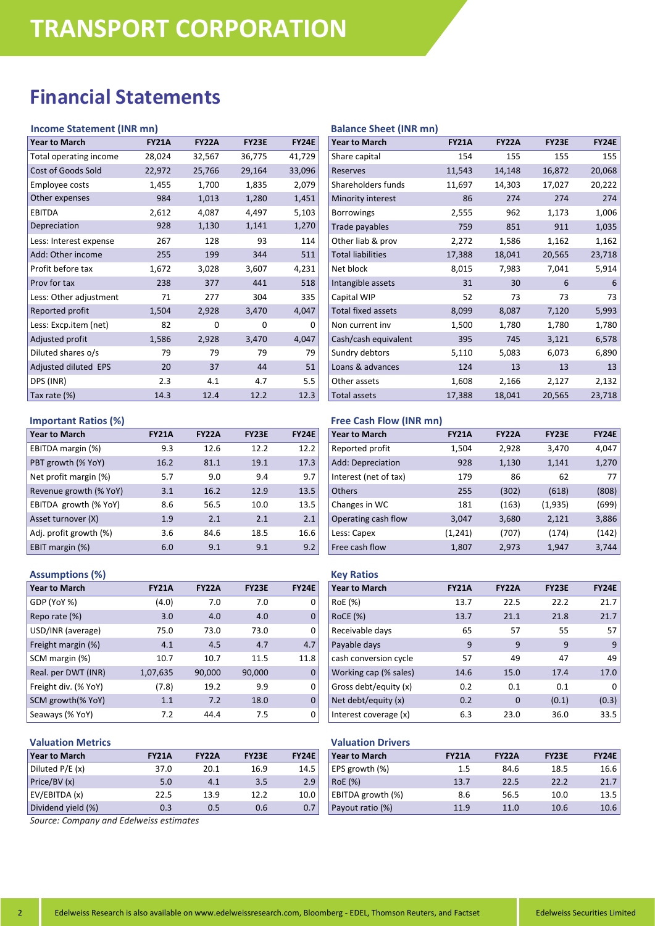## **Financial Statements**

### **Income Statement (INR mn)**

| <b>Year to March</b>   | <b>FY21A</b> | <b>FY22A</b> | <b>FY23E</b> | <b>FY24E</b> |
|------------------------|--------------|--------------|--------------|--------------|
| Total operating income | 28,024       | 32,567       | 36,775       | 41,729       |
| Cost of Goods Sold     | 22,972       | 25,766       | 29,164       | 33,096       |
| Employee costs         | 1,455        | 1,700        | 1,835        | 2,079        |
| Other expenses         | 984          | 1,013        | 1,280        | 1,451        |
| <b>EBITDA</b>          | 2,612        | 4,087        | 4,497        | 5,103        |
| Depreciation           | 928          | 1,130        | 1,141        | 1,270        |
| Less: Interest expense | 267          | 128          | 93           | 114          |
| Add: Other income      | 255          | 199          | 344          | 511          |
| Profit before tax      | 1,672        | 3,028        | 3,607        | 4,231        |
| Prov for tax           | 238          | 377          | 441          | 518          |
| Less: Other adjustment | 71           | 277          | 304          | 335          |
| Reported profit        | 1,504        | 2,928        | 3,470        | 4,047        |
| Less: Excp.item (net)  | 82           | 0            | 0            | 0            |
| Adjusted profit        | 1,586        | 2,928        | 3,470        | 4,047        |
| Diluted shares o/s     | 79           | 79           | 79           | 79           |
| Adjusted diluted EPS   | 20           | 37           | 44           | 51           |
| DPS (INR)              | 2.3          | 4.1          | 4.7          | 5.5          |
| Tax rate (%)           | 14.3         | 12.4         | 12.2         | 12.3         |

### **Important Ratios (%)**

| <b>Year to March</b>   | <b>FY21A</b> | <b>FY22A</b> | <b>FY23E</b> | <b>FY24E</b> |
|------------------------|--------------|--------------|--------------|--------------|
| EBITDA margin (%)      | 9.3          | 12.6         | 12.2         | 12.2         |
| PBT growth (% YoY)     | 16.2         | 81.1         | 19.1         | 17.3         |
| Net profit margin (%)  | 5.7          | 9.0          | 9.4          | 9.7          |
| Revenue growth (% YoY) | 3.1          | 16.2         | 12.9         | 13.5         |
| EBITDA growth (% YoY)  | 8.6          | 56.5         | 10.0         | 13.5         |
| Asset turnover (X)     | 1.9          | 2.1          | 2.1          | 2.1          |
| Adj. profit growth (%) | 3.6          | 84.6         | 18.5         | 16.6         |
| EBIT margin (%)        | 6.0          | 9.1          | 9.1          | 9.2          |

### **Assumptions (%)**

| <b>Year to March</b> | <b>FY21A</b> | <b>FY22A</b> | <b>FY23E</b> | <b>FY24E</b> |
|----------------------|--------------|--------------|--------------|--------------|
| GDP (YoY %)          | (4.0)        | 7.0          | 7.0          | 0            |
| Repo rate (%)        | 3.0          | 4.0          | 4.0          | $\Omega$     |
| USD/INR (average)    | 75.0         | 73.0         | 73.0         | 0            |
| Freight margin (%)   | 4.1          | 4.5          | 4.7          | 4.7          |
| SCM margin (%)       | 10.7         | 10.7         | 11.5         | 11.8         |
| Real. per DWT (INR)  | 1,07,635     | 90,000       | 90,000       | $\Omega$     |
| Freight div. (% YoY) | (7.8)        | 19.2         | 9.9          | 0            |
| SCM growth(% YoY)    | 1.1          | 7.2          | 18.0         | $\Omega$     |
| Seaways (% YoY)      | 7.2          | 44.4         | 7.5          | 0            |

## **Valuation Metrics**

| <b>Year to March</b> | <b>FY21A</b> | <b>FY22A</b> | <b>FY23E</b> | <b>FY24E</b> |
|----------------------|--------------|--------------|--------------|--------------|
| Diluted P/E (x)      | 37.0         | 20.1         | 16.9         | 14.5         |
| Price/BV (x)         | 5.0          | 4.1          | 3.5          | 2.9          |
| EV/EBITDA (x)        | 22.5         | 13.9         | 12.2         | 10.0         |
| Dividend yield (%)   | 0.3          | 0.5          | 0.6          | 0.7          |

### **Balance Sheet (INR mn)**

| <b>Year to March</b>      | <b>FY21A</b> | <b>FY22A</b> | <b>FY23E</b> | <b>FY24E</b> |
|---------------------------|--------------|--------------|--------------|--------------|
| Share capital             | 154          | 155          | 155          | 155          |
| <b>Reserves</b>           | 11,543       | 14,148       | 16,872       | 20,068       |
| Shareholders funds        | 11,697       | 14,303       | 17,027       | 20,222       |
| Minority interest         | 86           | 274          | 274          | 274          |
| <b>Borrowings</b>         | 2,555        | 962          | 1,173        | 1,006        |
| Trade payables            | 759          | 851          | 911          | 1,035        |
| Other liab & prov         | 2,272        | 1,586        | 1,162        | 1,162        |
| <b>Total liabilities</b>  | 17,388       | 18,041       | 20,565       | 23,718       |
| Net block                 | 8,015        | 7,983        | 7,041        | 5,914        |
| Intangible assets         | 31           | 30           | 6            | 6            |
| Capital WIP               | 52           | 73           | 73           | 73           |
| <b>Total fixed assets</b> | 8,099        | 8,087        | 7,120        | 5,993        |
| Non current inv           | 1,500        | 1,780        | 1,780        | 1,780        |
| Cash/cash equivalent      | 395          | 745          | 3,121        | 6,578        |
| Sundry debtors            | 5,110        | 5,083        | 6,073        | 6,890        |
| Loans & advances          | 124          | 13           | 13           | 13           |
| Other assets              | 1,608        | 2,166        | 2,127        | 2,132        |
| <b>Total assets</b>       | 17,388       | 18,041       | 20,565       | 23,718       |
|                           |              |              |              |              |

## **Free Cash Flow (INR mn)**

| <b>Year to March</b>  | <b>FY21A</b> | <b>FY22A</b> | <b>FY23E</b> | <b>FY24E</b> |
|-----------------------|--------------|--------------|--------------|--------------|
| Reported profit       | 1,504        | 2,928        | 3,470        | 4,047        |
| Add: Depreciation     | 928          | 1,130        | 1,141        | 1,270        |
| Interest (net of tax) | 179          | 86           | 62           | 77           |
| <b>Others</b>         | 255          | (302)        | (618)        | (808)        |
| Changes in WC         | 181          | (163)        | (1,935)      | (699)        |
| Operating cash flow   | 3,047        | 3,680        | 2,121        | 3,886        |
| Less: Capex           | (1,241)      | (707)        | (174)        | (142)        |
| Free cash flow        | 1,807        | 2,973        | 1,947        | 3,744        |

## **Key Ratios**

| <b>Year to March</b>  | <b>FY21A</b> | <b>FY22A</b> | <b>FY23E</b> | <b>FY24E</b> |
|-----------------------|--------------|--------------|--------------|--------------|
| RoE (%)               | 13.7         | 22.5         | 22.2         | 21.7         |
| <b>RoCE (%)</b>       | 13.7         | 21.1         | 21.8         | 21.7         |
| Receivable days       | 65           | 57           | 55           | 57           |
| Payable days          | 9            | 9            | 9            | 9            |
| cash conversion cycle | 57           | 49           | 47           | 49           |
| Working cap (% sales) | 14.6         | 15.0         | 17.4         | 17.0         |
| Gross debt/equity (x) | 0.2          | 0.1          | 0.1          | 0            |
| Net debt/equity (x)   | 0.2          | $\mathbf 0$  | (0.1)        | (0.3)        |
| Interest coverage (x) | 6.3          | 23.0         | 36.0         | 33.5         |

## **Valuation Drivers**

| <b>Year to March</b> | <b>FY21A</b> | <b>FY22A</b> | <b>FY23E</b> | <b>FY24E</b> |
|----------------------|--------------|--------------|--------------|--------------|
| EPS growth (%)       | $1.5\,$      | 84.6         | 18.5         | 16.6         |
| RoE (%)              | 13.7         | 22.5         | 22.2         | 21.7         |
| EBITDA growth (%)    | 8.6          | 56.5         | 10.0         | 13.5         |
| Payout ratio (%)     | 11.9         | 11.0         | 10.6         | 10.6         |

*Source: Company and Edelweiss estimates*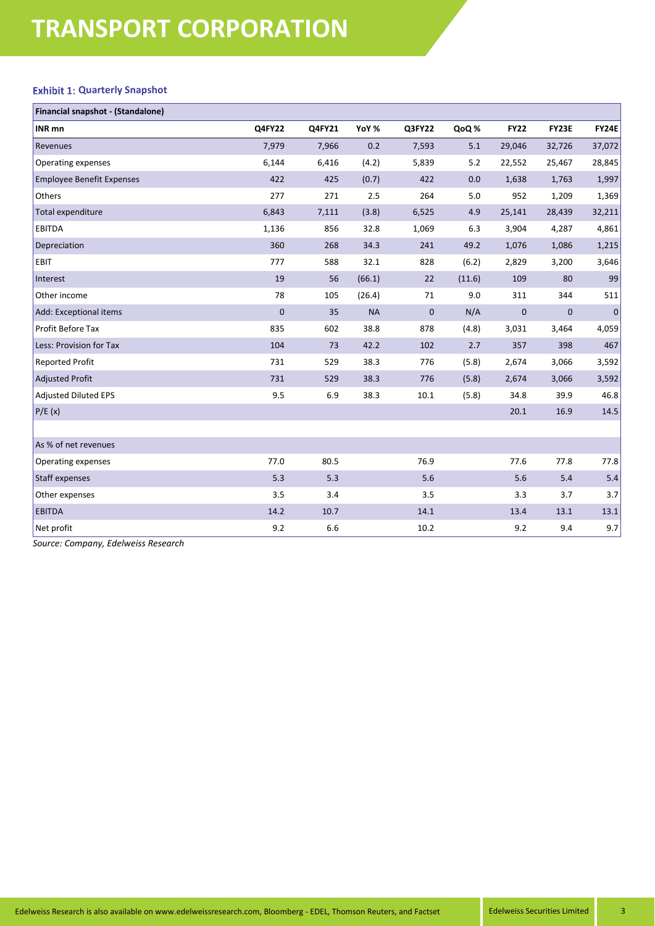# **TRANSPORT CORPORATION**

### **Exhibit 1: Quarterly Snapshot**

| Financial snapshot - (Standalone) |               |        |           |             |        |             |             |              |
|-----------------------------------|---------------|--------|-----------|-------------|--------|-------------|-------------|--------------|
| <b>INR</b> mn                     | <b>Q4FY22</b> | Q4FY21 | YoY %     | Q3FY22      | QoQ%   | <b>FY22</b> | FY23E       | <b>FY24E</b> |
| Revenues                          | 7,979         | 7,966  | 0.2       | 7,593       | 5.1    | 29,046      | 32,726      | 37,072       |
| Operating expenses                | 6,144         | 6,416  | (4.2)     | 5,839       | 5.2    | 22,552      | 25,467      | 28,845       |
| <b>Employee Benefit Expenses</b>  | 422           | 425    | (0.7)     | 422         | 0.0    | 1,638       | 1,763       | 1,997        |
| Others                            | 277           | 271    | 2.5       | 264         | 5.0    | 952         | 1,209       | 1,369        |
| Total expenditure                 | 6,843         | 7,111  | (3.8)     | 6,525       | 4.9    | 25,141      | 28,439      | 32,211       |
| <b>EBITDA</b>                     | 1,136         | 856    | 32.8      | 1,069       | 6.3    | 3,904       | 4,287       | 4,861        |
| Depreciation                      | 360           | 268    | 34.3      | 241         | 49.2   | 1,076       | 1,086       | 1,215        |
| EBIT                              | 777           | 588    | 32.1      | 828         | (6.2)  | 2,829       | 3,200       | 3,646        |
| Interest                          | 19            | 56     | (66.1)    | 22          | (11.6) | 109         | 80          | 99           |
| Other income                      | 78            | 105    | (26.4)    | 71          | 9.0    | 311         | 344         | 511          |
| Add: Exceptional items            | $\mathbf 0$   | 35     | <b>NA</b> | $\mathbf 0$ | N/A    | $\mathbf 0$ | $\mathbf 0$ | $\pmb{0}$    |
| Profit Before Tax                 | 835           | 602    | 38.8      | 878         | (4.8)  | 3,031       | 3,464       | 4,059        |
| Less: Provision for Tax           | 104           | 73     | 42.2      | 102         | 2.7    | 357         | 398         | 467          |
| <b>Reported Profit</b>            | 731           | 529    | 38.3      | 776         | (5.8)  | 2,674       | 3,066       | 3,592        |
| Adjusted Profit                   | 731           | 529    | 38.3      | 776         | (5.8)  | 2,674       | 3,066       | 3,592        |
| <b>Adjusted Diluted EPS</b>       | 9.5           | 6.9    | 38.3      | 10.1        | (5.8)  | 34.8        | 39.9        | 46.8         |
| P/E(x)                            |               |        |           |             |        | 20.1        | 16.9        | 14.5         |
|                                   |               |        |           |             |        |             |             |              |
| As % of net revenues              |               |        |           |             |        |             |             |              |
| Operating expenses                | 77.0          | 80.5   |           | 76.9        |        | 77.6        | 77.8        | 77.8         |
| Staff expenses                    | 5.3           | 5.3    |           | 5.6         |        | 5.6         | 5.4         | $5.4\,$      |
| Other expenses                    | 3.5           | 3.4    |           | 3.5         |        | 3.3         | 3.7         | 3.7          |
| <b>EBITDA</b>                     | 14.2          | 10.7   |           | 14.1        |        | 13.4        | 13.1        | 13.1         |
| Net profit                        | 9.2           | 6.6    |           | 10.2        |        | 9.2         | 9.4         | 9.7          |

*Source: Company, Edelweiss Research*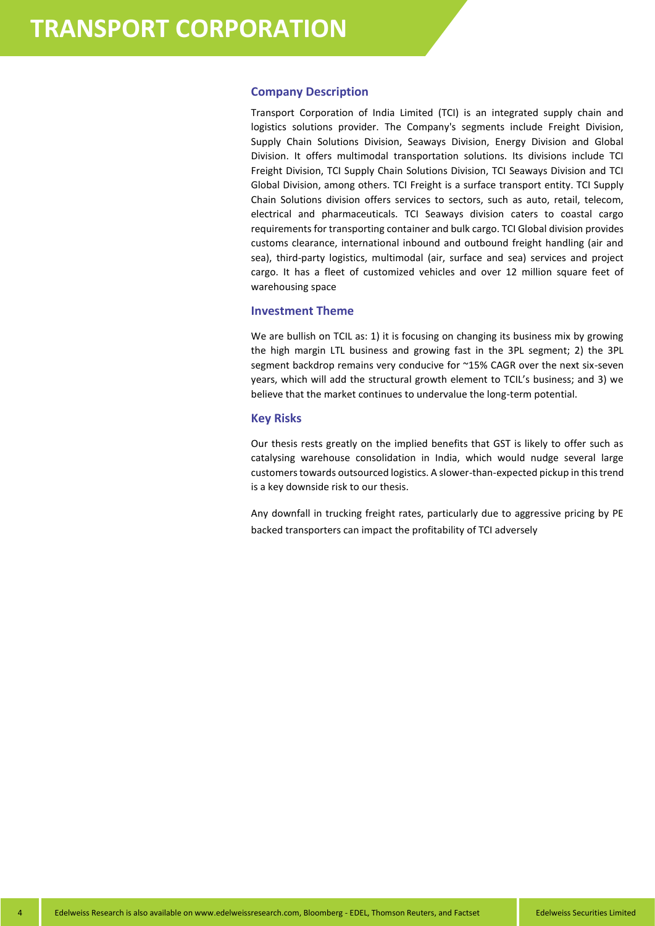### **Company Description**

Transport Corporation of India Limited (TCI) is an integrated supply chain and logistics solutions provider. The Company's segments include Freight Division, Supply Chain Solutions Division, Seaways Division, Energy Division and Global Division. It offers multimodal transportation solutions. Its divisions include TCI Freight Division, TCI Supply Chain Solutions Division, TCI Seaways Division and TCI Global Division, among others. TCI Freight is a surface transport entity. TCI Supply Chain Solutions division offers services to sectors, such as auto, retail, telecom, electrical and pharmaceuticals. TCI Seaways division caters to coastal cargo requirements for transporting container and bulk cargo. TCI Global division provides customs clearance, international inbound and outbound freight handling (air and sea), third-party logistics, multimodal (air, surface and sea) services and project cargo. It has a fleet of customized vehicles and over 12 million square feet of warehousing space

### **Investment Theme**

We are bullish on TCIL as: 1) it is focusing on changing its business mix by growing the high margin LTL business and growing fast in the 3PL segment; 2) the 3PL segment backdrop remains very conducive for ~15% CAGR over the next six-seven years, which will add the structural growth element to TCIL's business; and 3) we believe that the market continues to undervalue the long-term potential.

### **Key Risks**

Our thesis rests greatly on the implied benefits that GST is likely to offer such as catalysing warehouse consolidation in India, which would nudge several large customers towards outsourced logistics. A slower-than-expected pickup in this trend is a key downside risk to our thesis.

Any downfall in trucking freight rates, particularly due to aggressive pricing by PE backed transporters can impact the profitability of TCI adversely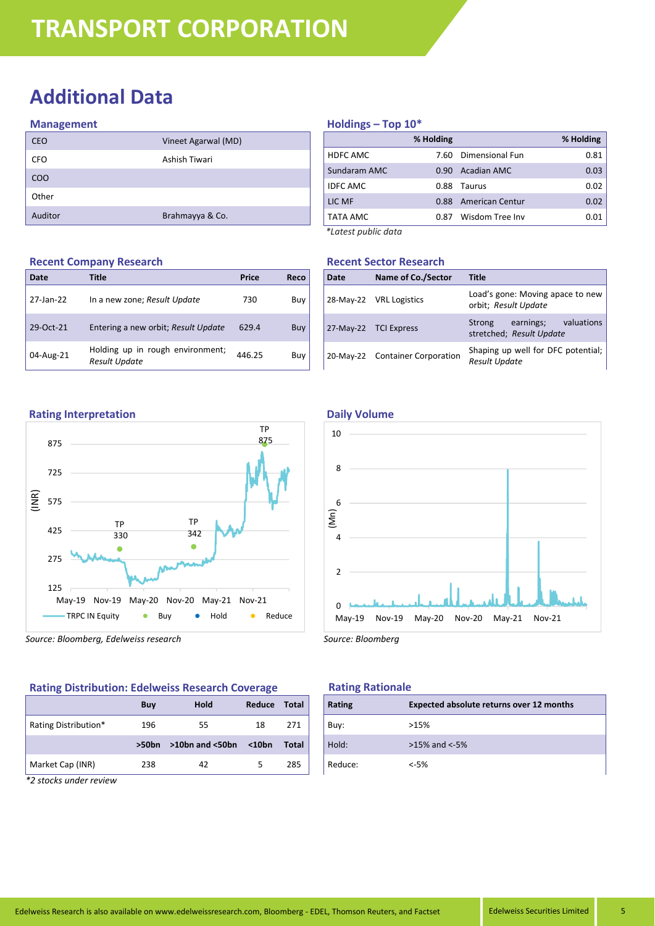## **Additional Data**

### **Management**

| <b>CEO</b> | Vineet Agarwal (MD) |
|------------|---------------------|
| <b>CFO</b> | Ashish Tiwari       |
| <b>COO</b> |                     |
| Other      |                     |
| Auditor    | Brahmayya & Co.     |

## **Holdings – Top 10\***

|                     | % Holding |                    | % Holding |
|---------------------|-----------|--------------------|-----------|
| HDFC AMC            | 7.60      | Dimensional Fun    | 0.81      |
| Sundaram AMC        | 0.90      | <b>Acadian AMC</b> | 0.03      |
| <b>IDFC AMC</b>     | 0.88      | Taurus             | 0.02      |
| LIC MF              | 0.88      | American Centur    | 0.02      |
| TATA AMC            | 0.87      | Wisdom Tree Inv    | 0.01      |
| *Latest public data |           |                    |           |

### **Recent Sector Research**

| Date | Name of Co./Sector              | <b>Title</b>                                               |  |
|------|---------------------------------|------------------------------------------------------------|--|
|      | 28-May-22 VRL Logistics         | Load's gone: Moving apace to new<br>orbit; Result Update   |  |
|      | 27-May-22 TCI Express           | earnings; valuations<br>Strong<br>stretched; Result Update |  |
|      | 20-May-22 Container Corporation | Shaping up well for DFC potential;<br><b>Result Update</b> |  |

## **Recent Company Research**

| Date      | Title                                                    | Price  | Reco |
|-----------|----------------------------------------------------------|--------|------|
| 27-Jan-22 | In a new zone; Result Update                             | 730    | Buy  |
| 29-Oct-21 | Entering a new orbit; Result Update                      | 629.4  | Buy  |
| 04-Aug-21 | Holding up in rough environment;<br><b>Result Update</b> | 446.25 | Buy  |

### **Rating Interpretation**



*Source: Bloomberg, Edelweiss research*

### **Rating Distribution: Edelweiss Research Coverage**

| Buy      | <b>Hold</b>           | Reduce   | Total |
|----------|-----------------------|----------|-------|
| 196      | 55                    | 18       | 271   |
| $>50$ bn | $>10$ bn and $<$ 50bn | $<$ 10bn | Total |
| 238      | 42                    |          | 285   |
|          |                       |          |       |

*\*2 stocks under review*

### **Daily Volume**



*Source: Bloomberg*

### **Rating Rationale**

| Rating  | Expected absolute returns over 12 months |
|---------|------------------------------------------|
| Buy:    | >15%                                     |
| Hold:   | $>15\%$ and $< -5\%$                     |
| Reduce: | $< -5%$                                  |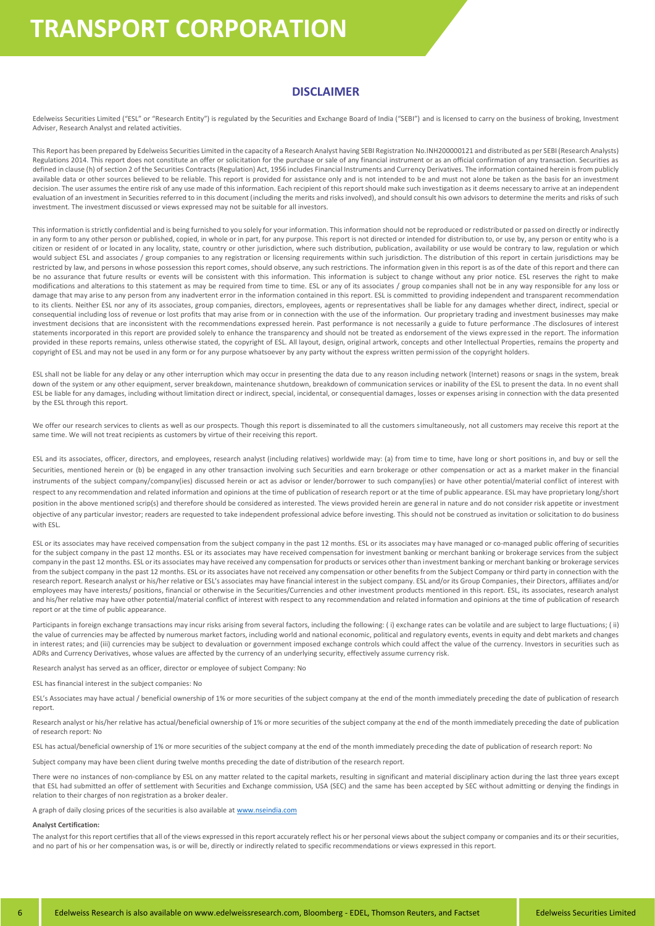## **TRANSPORT CORPORATION**

### **DISCLAIMER**

Edelweiss Securities Limited ("ESL" or "Research Entity") is regulated by the Securities and Exchange Board of India ("SEBI") and is licensed to carry on the business of broking, Investment Adviser, Research Analyst and related activities.

This Report has been prepared by Edelweiss Securities Limited in the capacity of a Research Analyst having SEBI Registration No.INH200000121 and distributed as per SEBI (Research Analysts) Regulations 2014. This report does not constitute an offer or solicitation for the purchase or sale of any financial instrument or as an official confirmation of any transaction. Securities as defined in clause (h) of section 2 of the Securities Contracts (Regulation) Act, 1956 includes Financial Instruments and Currency Derivatives. The information contained herein is from publicly available data or other sources believed to be reliable. This report is provided for assistance only and is not intended to be and must not alone be taken as the basis for an investment decision. The user assumes the entire risk of any use made of this information. Each recipient of this report should make such investigation as it deems necessary to arrive at an independent evaluation of an investment in Securities referred to in this document (including the merits and risks involved), and should consult his own advisors to determine the merits and risks of such investment. The investment discussed or views expressed may not be suitable for all investors.

This information is strictly confidential and is being furnished to you solely for your information. This information should not be reproduced or redistributed or passed on directly or indirectly in any form to any other person or published, copied, in whole or in part, for any purpose. This report is not directed or intended for distribution to, or use by, any person or entity who is a citizen or resident of or located in any locality, state, country or other jurisdiction, where such distribution, publication, availability or use would be contrary to law, regulation or which would subject ESL and associates / group companies to any registration or licensing requirements within such jurisdiction. The distribution of this report in certain jurisdictions may be restricted by law, and persons in whose possession this report comes, should observe, any such restrictions. The information given in this report is as of the date of this report and there can be no assurance that future results or events will be consistent with this information. This information is subject to change without any prior notice. ESL reserves the right to make modifications and alterations to this statement as may be required from time to time. ESL or any of its associates / group companies shall not be in any way responsible for any loss or damage that may arise to any person from any inadvertent error in the information contained in this report. ESL is committed to providing independent and transparent recommendation to its clients. Neither ESL nor any of its associates, group companies, directors, employees, agents or representatives shall be liable for any damages whether direct, indirect, special or consequential including loss of revenue or lost profits that may arise from or in connection with the use of the information. Our proprietary trading and investment businesses may make investment decisions that are inconsistent with the recommendations expressed herein. Past performance is not necessarily a guide to future performance .The disclosures of interest statements incorporated in this report are provided solely to enhance the transparency and should not be treated as endorsement of the views expressed in the report. The information provided in these reports remains, unless otherwise stated, the copyright of ESL. All layout, design, original artwork, concepts and other Intellectual Properties, remains the property and copyright of ESL and may not be used in any form or for any purpose whatsoever by any party without the express written permission of the copyright holders.

ESL shall not be liable for any delay or any other interruption which may occur in presenting the data due to any reason including network (Internet) reasons or snags in the system, break down of the system or any other equipment, server breakdown, maintenance shutdown, breakdown of communication services or inability of the ESL to present the data. In no event shall ESL be liable for any damages, including without limitation direct or indirect, special, incidental, or consequential damages, losses or expenses arising in connection with the data presented by the ESL through this report.

We offer our research services to clients as well as our prospects. Though this report is disseminated to all the customers simultaneously, not all customers may receive this report at the same time. We will not treat recipients as customers by virtue of their receiving this report.

ESL and its associates, officer, directors, and employees, research analyst (including relatives) worldwide may: (a) from time to time, have long or short positions in, and buy or sell the Securities, mentioned herein or (b) be engaged in any other transaction involving such Securities and earn brokerage or other compensation or act as a market maker in the financial instruments of the subject company/company(ies) discussed herein or act as advisor or lender/borrower to such company(ies) or have other potential/material conflict of interest with respect to any recommendation and related information and opinions at the time of publication of research report or at the time of public appearance. ESL may have proprietary long/short position in the above mentioned scrip(s) and therefore should be considered as interested. The views provided herein are general in nature and do not consider risk appetite or investment objective of any particular investor; readers are requested to take independent professional advice before investing. This should not be construed as invitation or solicitation to do business with ESL.

ESL or its associates may have received compensation from the subject company in the past 12 months. ESL or its associates may have managed or co-managed public offering of securities for the subject company in the past 12 months. ESL or its associates may have received compensation for investment banking or merchant banking or brokerage services from the subject company in the past 12 months. ESL or its associates may have received any compensation for products or services other than investment banking or merchant banking or brokerage services from the subject company in the past 12 months. ESL or its associates have not received any compensation or other benefits from the Subject Company or third party in connection with the research report. Research analyst or his/her relative or ESL's associates may have financial interest in the subject company. ESL and/or its Group Companies, their Directors, affiliates and/or employees may have interests/ positions, financial or otherwise in the Securities/Currencies and other investment products mentioned in this report. ESL, its associates, research analyst and his/her relative may have other potential/material conflict of interest with respect to any recommendation and related information and opinions at the time of publication of research report or at the time of public appearance.

Participants in foreign exchange transactions may incur risks arising from several factors, including the following: (i) exchange rates can be volatile and are subject to large fluctuations; (ii) the value of currencies may be affected by numerous market factors, including world and national economic, political and regulatory events, events in equity and debt markets and changes in interest rates; and (iii) currencies may be subject to devaluation or government imposed exchange controls which could affect the value of the currency. Investors in securities such as ADRs and Currency Derivatives, whose values are affected by the currency of an underlying security, effectively assume currency risk.

Research analyst has served as an officer, director or employee of subject Company: No

ESL has financial interest in the subject companies: No

ESL's Associates may have actual / beneficial ownership of 1% or more securities of the subject company at the end of the month immediately preceding the date of publication of research report

Research analyst or his/her relative has actual/beneficial ownership of 1% or more securities of the subject company at the end of the month immediately preceding the date of publication of research report: No

ESL has actual/beneficial ownership of 1% or more securities of the subject company at the end of the month immediately preceding the date of publication of research report: No

Subject company may have been client during twelve months preceding the date of distribution of the research report.

There were no instances of non-compliance by ESL on any matter related to the capital markets, resulting in significant and material disciplinary action during the last three years except that ESL had submitted an offer of settlement with Securities and Exchange commission, USA (SEC) and the same has been accepted by SEC without admitting or denying the findings in relation to their charges of non registration as a broker dealer.

A graph of daily closing prices of the securities is also available a[t www.nseindia.com](http://www.nseindia.com/)

### **Analyst Certification:**

The analyst for this report certifies that all of the views expressed in this report accurately reflect his or her personal views about the subject company or companies and its or their securities, and no part of his or her compensation was, is or will be, directly or indirectly related to specific recommendations or views expressed in this report.